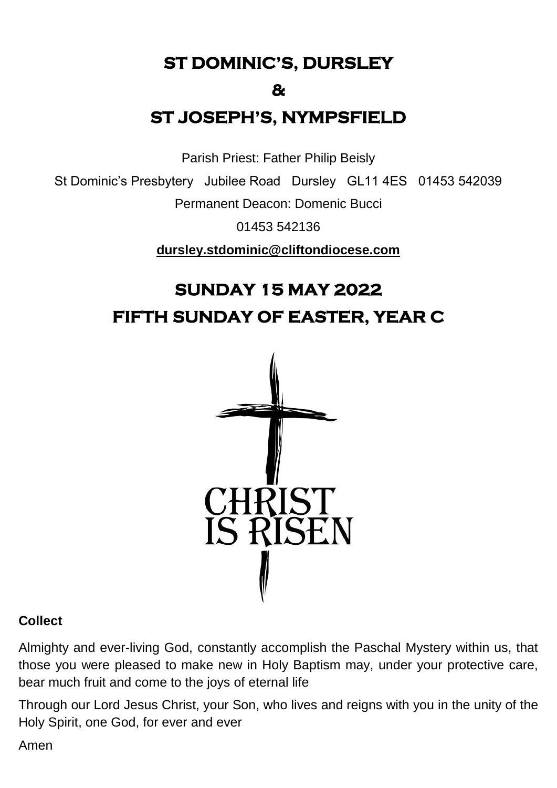**ST DOMINIC'S, DURSLEY** 

### **&**

## **ST JOSEPH'S, NYMPSFIELD**

Parish Priest: Father Philip Beisly

St Dominic's Presbytery Jubilee Road Dursley GL11 4ES 01453 542039

Permanent Deacon: Domenic Bucci

01453 542136

**[dursley.stdominic@cliftondiocese.com](mailto:dursley.stdominic@cliftondiocese.com)**

# **SUNDAY 15 MAY 2022 FIFTH SUNDAY OF EASTER, YEAR C**



### **Collect**

Almighty and ever-living God, constantly accomplish the Paschal Mystery within us, that those you were pleased to make new in Holy Baptism may, under your protective care, bear much fruit and come to the joys of eternal life

Through our Lord Jesus Christ, your Son, who lives and reigns with you in the unity of the Holy Spirit, one God, for ever and ever

Amen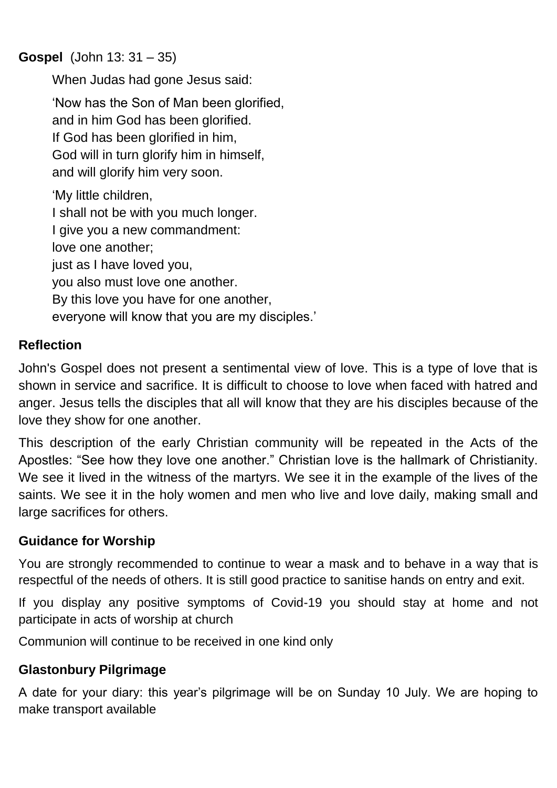## **Gospel** (John 13: 31 – 35)

When Judas had gone Jesus said:

'Now has the Son of Man been glorified, and in him God has been glorified. If God has been glorified in him, God will in turn glorify him in himself, and will glorify him very soon.

'My little children, I shall not be with you much longer. I give you a new commandment: love one another; just as I have loved you, you also must love one another. By this love you have for one another, everyone will know that you are my disciples.'

## **Reflection**

John's Gospel does not present a sentimental view of love. This is a type of love that is shown in service and sacrifice. It is difficult to choose to love when faced with hatred and anger. Jesus tells the disciples that all will know that they are his disciples because of the love they show for one another.

This description of the early Christian community will be repeated in the Acts of the Apostles: "See how they love one another." Christian love is the hallmark of Christianity. We see it lived in the witness of the martyrs. We see it in the example of the lives of the saints. We see it in the holy women and men who live and love daily, making small and large sacrifices for others.

### **Guidance for Worship**

You are strongly recommended to continue to wear a mask and to behave in a way that is respectful of the needs of others. It is still good practice to sanitise hands on entry and exit.

If you display any positive symptoms of Covid-19 you should stay at home and not participate in acts of worship at church

Communion will continue to be received in one kind only

## **Glastonbury Pilgrimage**

A date for your diary: this year's pilgrimage will be on Sunday 10 July. We are hoping to make transport available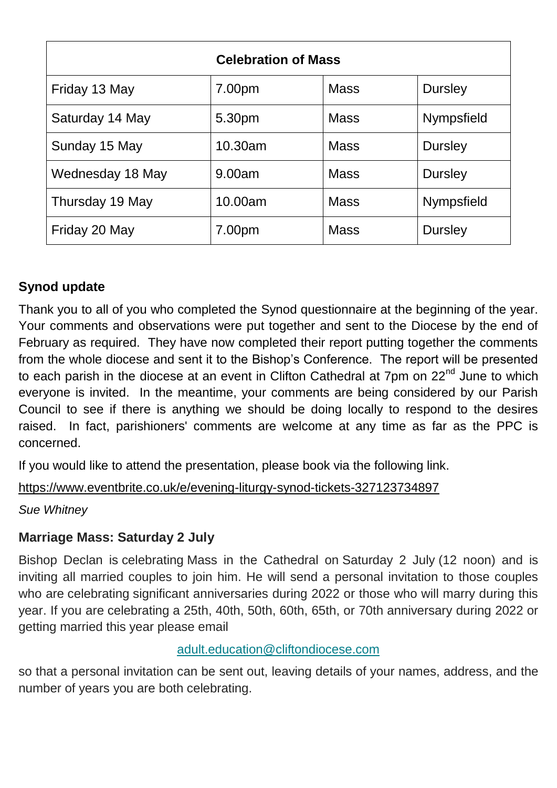| <b>Celebration of Mass</b> |         |             |                   |
|----------------------------|---------|-------------|-------------------|
| Friday 13 May              | 7.00pm  | <b>Mass</b> | <b>Dursley</b>    |
| Saturday 14 May            | 5.30pm  | <b>Mass</b> | <b>Nympsfield</b> |
| Sunday 15 May              | 10.30am | <b>Mass</b> | <b>Dursley</b>    |
| Wednesday 18 May           | 9.00am  | <b>Mass</b> | <b>Dursley</b>    |
| Thursday 19 May            | 10.00am | <b>Mass</b> | Nympsfield        |
| Friday 20 May              | 7.00pm  | <b>Mass</b> | <b>Dursley</b>    |

## **Synod update**

Thank you to all of you who completed the Synod questionnaire at the beginning of the year. Your comments and observations were put together and sent to the Diocese by the end of February as required. They have now completed their report putting together the comments from the whole diocese and sent it to the Bishop's Conference. The report will be presented to each parish in the diocese at an event in Clifton Cathedral at 7pm on 22<sup>nd</sup> June to which everyone is invited. In the meantime, your comments are being considered by our Parish Council to see if there is anything we should be doing locally to respond to the desires raised. In fact, parishioners' comments are welcome at any time as far as the PPC is concerned.

If you would like to attend the presentation, please book via the following link.

[https://www.eventbrite.co.uk/e/evening-liturgy-synod-tickets-327123734897](https://eur02.safelinks.protection.outlook.com/?url=https%3A%2F%2Fwww.eventbrite.co.uk%2Fe%2Fevening-liturgy-synod-tickets-327123734897&data=05%7C01%7Cdursley.stdominic%40cliftondiocese.com%7C0544ae0349ef40b424ac08da275a5770%7Cf10b8f13604e4fa29e1204a7fad22e94%7C0%7C0%7C637865566215219738%7CUnknown%7CTWFpbGZsb3d8eyJWIjoiMC4wLjAwMDAiLCJQIjoiV2luMzIiLCJBTiI6Ik1haWwiLCJXVCI6Mn0%3D%7C3000%7C%7C%7C&sdata=bZoxJe9WmmeQPkY4HfkNq6kZ8LTi9wiXDItL0LWmq6I%3D&reserved=0)

*Sue Whitney*

## **Marriage Mass: Saturday 2 July**

Bishop Declan is celebrating Mass in the Cathedral on Saturday 2 July (12 noon) and is inviting all married couples to join him. He will send a personal invitation to those couples who are celebrating significant anniversaries during 2022 or those who will marry during this year. If you are celebrating a 25th, 40th, 50th, 60th, 65th, or 70th anniversary during 2022 or getting married this year please email

### [adult.education@cliftondiocese.com](mailto:adult.education@cliftondiocese.com)

so that a personal invitation can be sent out, leaving details of your names, address, and the number of years you are both celebrating.